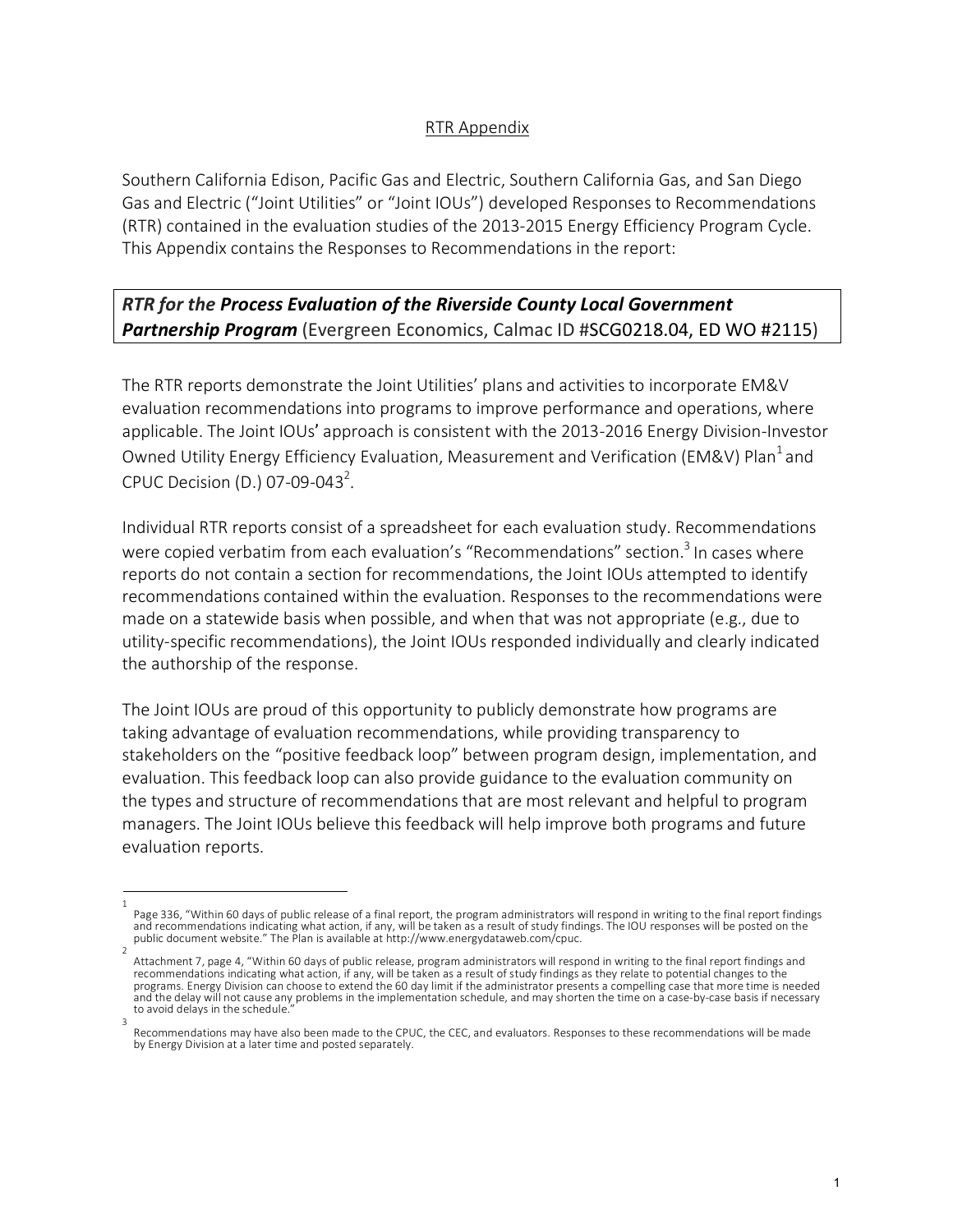## RTR Appendix

Southern California Edison, Pacific Gas and Electric, Southern California Gas, and San Diego Gas and Electric ("Joint Utilities" or "Joint IOUs") developed Responses to Recommendations (RTR) contained in the evaluation studies of the 2013-2015 Energy Efficiency Program Cycle. This Appendix contains the Responses to Recommendations in the report:

## *RTR for the Process Evaluation of the Riverside County Local Government Partnership Program* (Evergreen Economics, Calmac ID #SCG0218.04, ED WO #2115)

The RTR reports demonstrate the Joint Utilities' plans and activities to incorporate EM&V evaluation recommendations into programs to improve performance and operations, where applicable. The Joint IOUs' approach is consistent with the 2013-2016 Energy Division-Investor Owned Utility Energy Efficiency Evaluation, Measurement and Verification (EM&V) Plan<sup>1</sup> and CPUC Decision (D.) 07-09-043<sup>2</sup>.

Individual RTR reports consist of a spreadsheet for each evaluation study. Recommendations were copied verbatim from each evaluation's "Recommendations" section.<sup>3</sup> In cases where reports do not contain a section for recommendations, the Joint IOUs attempted to identify recommendations contained within the evaluation. Responses to the recommendations were made on a statewide basis when possible, and when that was not appropriate (e.g., due to utility-specific recommendations), the Joint IOUs responded individually and clearly indicated the authorship of the response.

The Joint IOUs are proud of this opportunity to publicly demonstrate how programs are taking advantage of evaluation recommendations, while providing transparency to stakeholders on the "positive feedback loop" between program design, implementation, and evaluation. This feedback loop can also provide guidance to the evaluation community on the types and structure of recommendations that are most relevant and helpful to program managers. The Joint IOUs believe this feedback will help improve both programs and future evaluation reports.

<sup>1</sup>  Page 336, "Within 60 days of public release of a final report, the program administrators will respond in writing to the final report findings<br>and recommendations indicating what action, if any, will be taken as a result o public document website." The Plan is available at http://www.energydataweb.com/cpuc.

Attachment 7, page 4, "Within 60 days of public release, program administrators will respond in writing to the final report findings and recommendations indicating what action, if any, will be taken as a result of study findings as they relate to potential changes to the programs. Energy Division can choose to extend the 60 day limit if the administrator presents a compelling case that more time is needed and the delay will not cause any problems in the implementation schedule, and may shorten the time on a case-by-case basis if necessary to avoid delays in the schedule. 3

Recommendations may have also been made to the CPUC, the CEC, and evaluators. Responses to these recommendations will be made by Energy Division at a later time and posted separately.